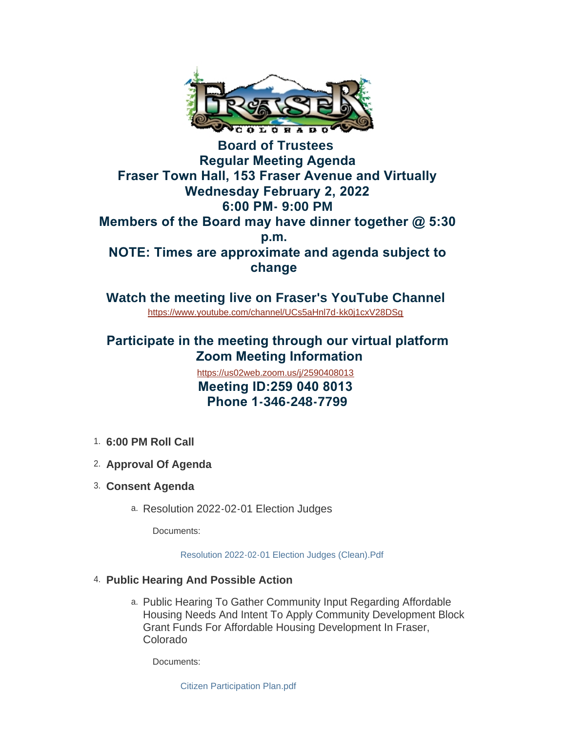

**Board of Trustees Regular Meeting Agenda Fraser Town Hall, 153 Fraser Avenue and Virtually Wednesday February 2, 2022 6:00 PM- 9:00 PM Members of the Board may have dinner together @ 5:30 p.m. NOTE: Times are approximate and agenda subject to change** 

**Watch the meeting live on Fraser's YouTube Channel** <https://www.youtube.com/channel/UCs5aHnl7d-kk0j1cxV28DSg>

## **Participate in the meeting through our virtual platform Zoom Meeting Information**

 **Meeting ID:259 040 8013 Phone 1-346-248-7799** <https://us02web.zoom.us/j/2590408013>

- **6:00 PM Roll Call** 1.
- **Approval Of Agenda** 2.
- **Consent Agenda** 3.
	- a. Resolution 2022-02-01 Election Judges

Documents:

[Resolution 2022-02-01 Election Judges \(Clean\).Pdf](https://www.frasercolorado.com/AgendaCenter/ViewFile/Item/3800?fileID=3399)

- **Public Hearing And Possible Action** 4.
	- Public Hearing To Gather Community Input Regarding Affordable a. Housing Needs And Intent To Apply Community Development Block Grant Funds For Affordable Housing Development In Fraser, Colorado

Documents:

[Citizen Participation Plan.pdf](https://www.frasercolorado.com/AgendaCenter/ViewFile/Item/3804?fileID=3400)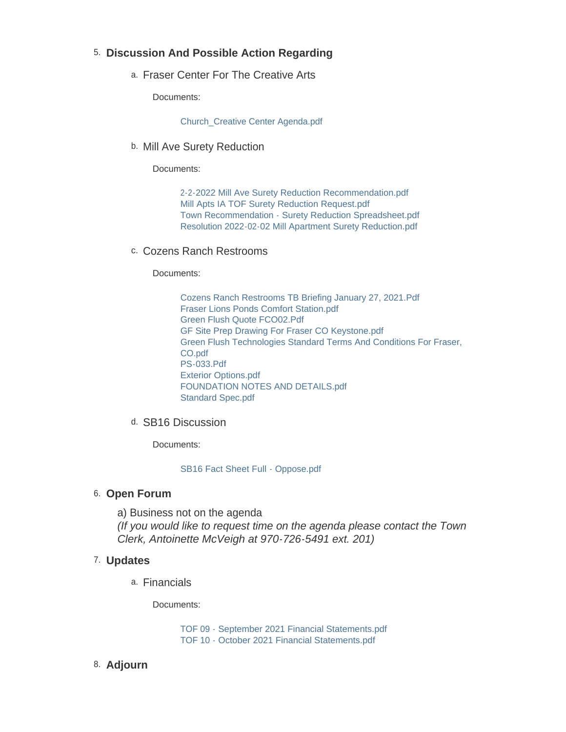### **Discussion And Possible Action Regarding** 5.

a. Fraser Center For The Creative Arts

Documents:

[Church\\_Creative Center Agenda.pdf](https://www.frasercolorado.com/AgendaCenter/ViewFile/Item/3811?fileID=3417)

b. Mill Ave Surety Reduction

Documents:

[2-2-2022 Mill Ave Surety Reduction Recommendation.pdf](https://www.frasercolorado.com/AgendaCenter/ViewFile/Item/3808?fileID=3405) [Mill Apts IA TOF Surety Reduction Request.pdf](https://www.frasercolorado.com/AgendaCenter/ViewFile/Item/3808?fileID=3402) [Town Recommendation - Surety Reduction Spreadsheet.pdf](https://www.frasercolorado.com/AgendaCenter/ViewFile/Item/3808?fileID=3403) [Resolution 2022-02-02 Mill Apartment Surety Reduction.pdf](https://www.frasercolorado.com/AgendaCenter/ViewFile/Item/3808?fileID=3404)

c. Cozens Ranch Restrooms

Documents:

[Cozens Ranch Restrooms TB Briefing January 27, 2021.Pdf](https://www.frasercolorado.com/AgendaCenter/ViewFile/Item/3809?fileID=3406) [Fraser Lions Ponds Comfort Station.pdf](https://www.frasercolorado.com/AgendaCenter/ViewFile/Item/3809?fileID=3409) [Green Flush Quote FCO02.Pdf](https://www.frasercolorado.com/AgendaCenter/ViewFile/Item/3809?fileID=3411) [GF Site Prep Drawing For Fraser CO Keystone.pdf](https://www.frasercolorado.com/AgendaCenter/ViewFile/Item/3809?fileID=3410) [Green Flush Technologies Standard Terms And Conditions For Fraser,](https://www.frasercolorado.com/AgendaCenter/ViewFile/Item/3809?fileID=3412)  CO.pdf [PS-033.Pdf](https://www.frasercolorado.com/AgendaCenter/ViewFile/Item/3809?fileID=3413) [Exterior Options.pdf](https://www.frasercolorado.com/AgendaCenter/ViewFile/Item/3809?fileID=3407) [FOUNDATION NOTES AND DETAILS.pdf](https://www.frasercolorado.com/AgendaCenter/ViewFile/Item/3809?fileID=3408) [Standard Spec.pdf](https://www.frasercolorado.com/AgendaCenter/ViewFile/Item/3809?fileID=3414)

d. SB16 Discussion

Documents:

[SB16 Fact Sheet Full - Oppose.pdf](https://www.frasercolorado.com/AgendaCenter/ViewFile/Item/3807?fileID=3401)

#### 6. Open Forum

a) Business not on the agenda *(If you would like to request time on the agenda please contact the Town Clerk, Antoinette McVeigh at 970-726-5491 ext. 201)*

#### **Updates** 7.

Financials a.

Documents:

[TOF 09 - September 2021 Financial Statements.pdf](https://www.frasercolorado.com/AgendaCenter/ViewFile/Item/3810?fileID=3415) [TOF 10 - October 2021 Financial Statements.pdf](https://www.frasercolorado.com/AgendaCenter/ViewFile/Item/3810?fileID=3416)

**Adjourn** 8.